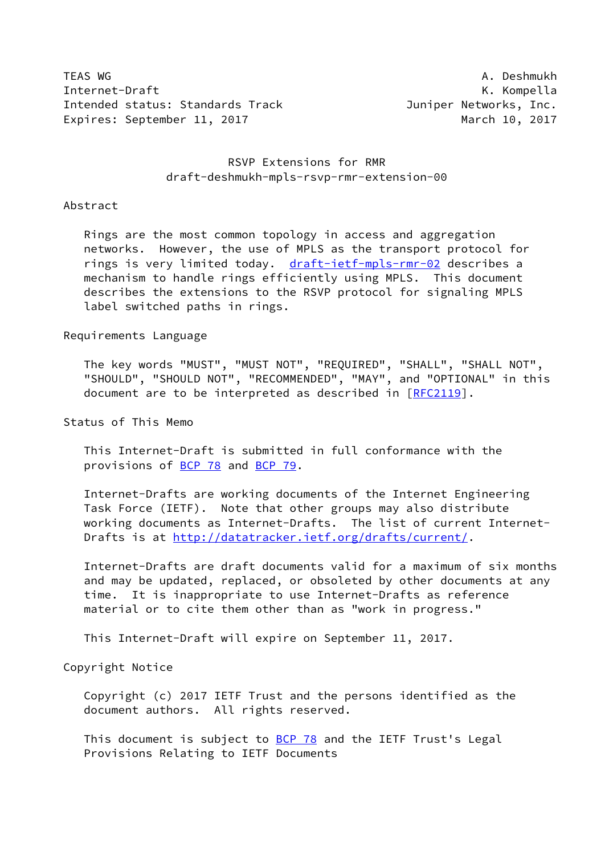TEAS WG **A. Deshmukh** Internet-Draft **K. Kompella** Intended status: Standards Track Juniper Networks, Inc. Expires: September 11, 2017 March 10, 2017

# RSVP Extensions for RMR draft-deshmukh-mpls-rsvp-rmr-extension-00

### Abstract

 Rings are the most common topology in access and aggregation networks. However, the use of MPLS as the transport protocol for rings is very limited today. [draft-ietf-mpls-rmr-02](https://datatracker.ietf.org/doc/pdf/draft-ietf-mpls-rmr-02) describes a mechanism to handle rings efficiently using MPLS. This document describes the extensions to the RSVP protocol for signaling MPLS label switched paths in rings.

### Requirements Language

 The key words "MUST", "MUST NOT", "REQUIRED", "SHALL", "SHALL NOT", "SHOULD", "SHOULD NOT", "RECOMMENDED", "MAY", and "OPTIONAL" in this document are to be interpreted as described in [\[RFC2119](https://datatracker.ietf.org/doc/pdf/rfc2119)].

Status of This Memo

 This Internet-Draft is submitted in full conformance with the provisions of [BCP 78](https://datatracker.ietf.org/doc/pdf/bcp78) and [BCP 79](https://datatracker.ietf.org/doc/pdf/bcp79).

 Internet-Drafts are working documents of the Internet Engineering Task Force (IETF). Note that other groups may also distribute working documents as Internet-Drafts. The list of current Internet Drafts is at<http://datatracker.ietf.org/drafts/current/>.

 Internet-Drafts are draft documents valid for a maximum of six months and may be updated, replaced, or obsoleted by other documents at any time. It is inappropriate to use Internet-Drafts as reference material or to cite them other than as "work in progress."

This Internet-Draft will expire on September 11, 2017.

Copyright Notice

 Copyright (c) 2017 IETF Trust and the persons identified as the document authors. All rights reserved.

This document is subject to **[BCP 78](https://datatracker.ietf.org/doc/pdf/bcp78)** and the IETF Trust's Legal Provisions Relating to IETF Documents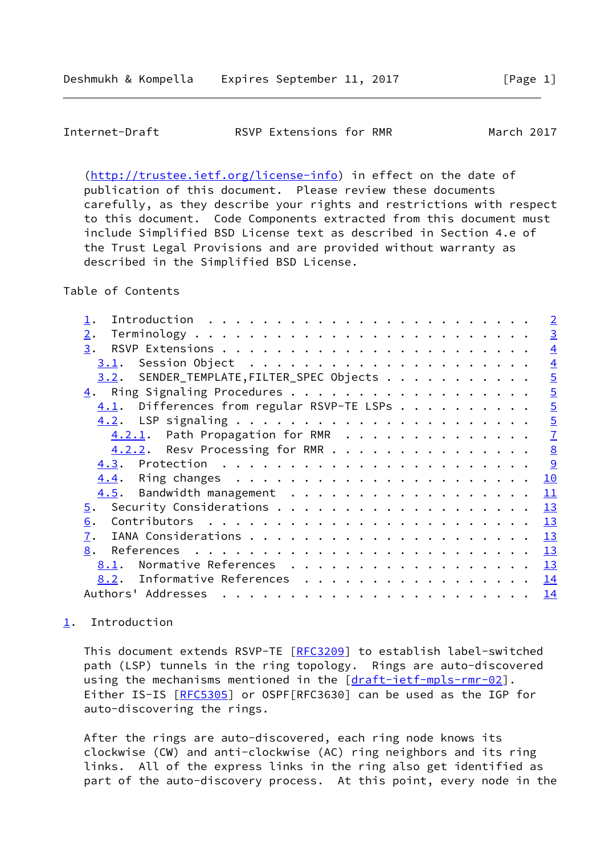<span id="page-1-1"></span>

| RSVP Extensions for RMR<br>Internet-Draft |  | March 2017 |
|-------------------------------------------|--|------------|
|-------------------------------------------|--|------------|

 [\(http://trustee.ietf.org/license-info](http://trustee.ietf.org/license-info)) in effect on the date of publication of this document. Please review these documents carefully, as they describe your rights and restrictions with respect to this document. Code Components extracted from this document must include Simplified BSD License text as described in Section 4.e of the Trust Legal Provisions and are provided without warranty as described in the Simplified BSD License.

Table of Contents

|                                               | $\overline{2}$ |
|-----------------------------------------------|----------------|
| 2.                                            | $\overline{3}$ |
| 3.                                            | $\overline{4}$ |
| 3.1.                                          | $\overline{4}$ |
| 3.2. SENDER_TEMPLATE, FILTER_SPEC Objects     | $\overline{5}$ |
|                                               | $\overline{5}$ |
| Differences from regular RSVP-TE LSPs<br>4.1. | $\overline{5}$ |
|                                               | $\overline{5}$ |
| 4.2.1. Path Propagation for RMR               | $\overline{1}$ |
| 4.2.2. Resv Processing for RMR                | 8              |
|                                               | $\overline{9}$ |
|                                               | 10             |
| 4.5. Bandwidth management                     | 11             |
| 5.                                            | 13             |
| 6.                                            | 13             |
| 7.                                            | 13             |
| 8.                                            | 13             |
| Normative References<br>8.1.                  | 13             |
| Informative References<br>8.2.                | 14             |
| Authors' Addresses                            | <u>14</u>      |
|                                               |                |

# <span id="page-1-0"></span>[1](#page-1-0). Introduction

 This document extends RSVP-TE [[RFC3209](https://datatracker.ietf.org/doc/pdf/rfc3209)] to establish label-switched path (LSP) tunnels in the ring topology. Rings are auto-discovered using the mechanisms mentioned in the [[draft-ietf-mpls-rmr-02](https://datatracker.ietf.org/doc/pdf/draft-ietf-mpls-rmr-02)]. Either IS-IS [\[RFC5305](https://datatracker.ietf.org/doc/pdf/rfc5305)] or OSPF[RFC3630] can be used as the IGP for auto-discovering the rings.

 After the rings are auto-discovered, each ring node knows its clockwise (CW) and anti-clockwise (AC) ring neighbors and its ring links. All of the express links in the ring also get identified as part of the auto-discovery process. At this point, every node in the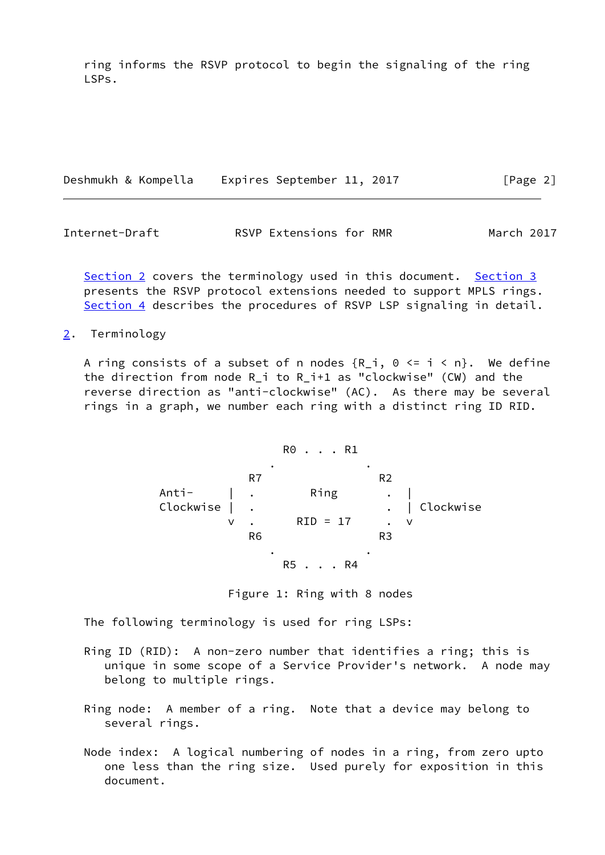ring informs the RSVP protocol to begin the signaling of the ring LSPs.

|  | Deshmukh & Kompella | Expires September 11, 2017 |  | [Page 2] |  |
|--|---------------------|----------------------------|--|----------|--|
|  |                     |                            |  |          |  |

<span id="page-2-1"></span>Internet-Draft **RSVP Extensions for RMR** March 2017

[Section 2](#page-2-0) covers the terminology used in this document. [Section 3](#page-3-0) presents the RSVP protocol extensions needed to support MPLS rings. [Section 4](#page-4-2) describes the procedures of RSVP LSP signaling in detail.

<span id="page-2-0"></span>[2](#page-2-0). Terminology

A ring consists of a subset of n nodes  $\{R_i, \theta \leq i \leq n\}$ . We define the direction from node R\_i to R\_i+1 as "clockwise" (CW) and the reverse direction as "anti-clockwise" (AC). As there may be several rings in a graph, we number each ring with a distinct ring ID RID.

$$
\mathsf{R0}\ \ldots\ \mathsf{R1}
$$

 . . expanding the R7 and R2 Anti- | . Ring . | Clockwise | . . . . . . . . . . . Clockwise v . RID = 17 . v R6 R3 . . R5 . . . R4

Figure 1: Ring with 8 nodes

The following terminology is used for ring LSPs:

- Ring ID (RID): A non-zero number that identifies a ring; this is unique in some scope of a Service Provider's network. A node may belong to multiple rings.
- Ring node: A member of a ring. Note that a device may belong to several rings.
- Node index: A logical numbering of nodes in a ring, from zero upto one less than the ring size. Used purely for exposition in this document.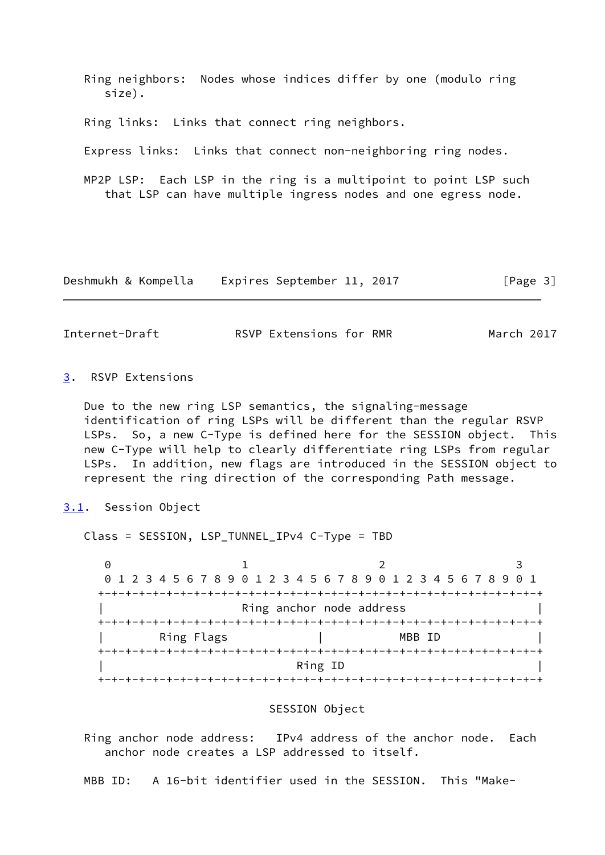Ring neighbors: Nodes whose indices differ by one (modulo ring size). Ring links: Links that connect ring neighbors. Express links: Links that connect non-neighboring ring nodes. MP2P LSP: Each LSP in the ring is a multipoint to point LSP such that LSP can have multiple ingress nodes and one egress node.

| Deshmukh & Kompella |  |  |  | Expires September 11, 2017 |  |  | [Page 3] |  |
|---------------------|--|--|--|----------------------------|--|--|----------|--|
|---------------------|--|--|--|----------------------------|--|--|----------|--|

<span id="page-3-1"></span>Internet-Draft **RSVP Extensions for RMR** March 2017

### <span id="page-3-0"></span>[3](#page-3-0). RSVP Extensions

 Due to the new ring LSP semantics, the signaling-message identification of ring LSPs will be different than the regular RSVP LSPs. So, a new C-Type is defined here for the SESSION object. This new C-Type will help to clearly differentiate ring LSPs from regular LSPs. In addition, new flags are introduced in the SESSION object to represent the ring direction of the corresponding Path message.

<span id="page-3-2"></span>[3.1](#page-3-2). Session Object

Class = SESSION, LSP\_TUNNEL\_IPv4 C-Type = TBD

0 1 2 3 0 1 2 3 4 5 6 7 8 9 0 1 2 3 4 5 6 7 8 9 0 1 2 3 4 5 6 7 8 9 0 1 +-+-+-+-+-+-+-+-+-+-+-+-+-+-+-+-+-+-+-+-+-+-+-+-+-+-+-+-+-+-+-+-+ Ring anchor node address +-+-+-+-+-+-+-+-+-+-+-+-+-+-+-+-+-+-+-+-+-+-+-+-+-+-+-+-+-+-+-+-+ Ring Flags  $\qquad \qquad \vert$  MBB ID +-+-+-+-+-+-+-+-+-+-+-+-+-+-+-+-+-+-+-+-+-+-+-+-+-+-+-+-+-+-+-+-+ | Ring ID | +-+-+-+-+-+-+-+-+-+-+-+-+-+-+-+-+-+-+-+-+-+-+-+-+-+-+-+-+-+-+-+-+

### SESSION Object

 Ring anchor node address: IPv4 address of the anchor node. Each anchor node creates a LSP addressed to itself.

MBB ID: A 16-bit identifier used in the SESSION. This "Make-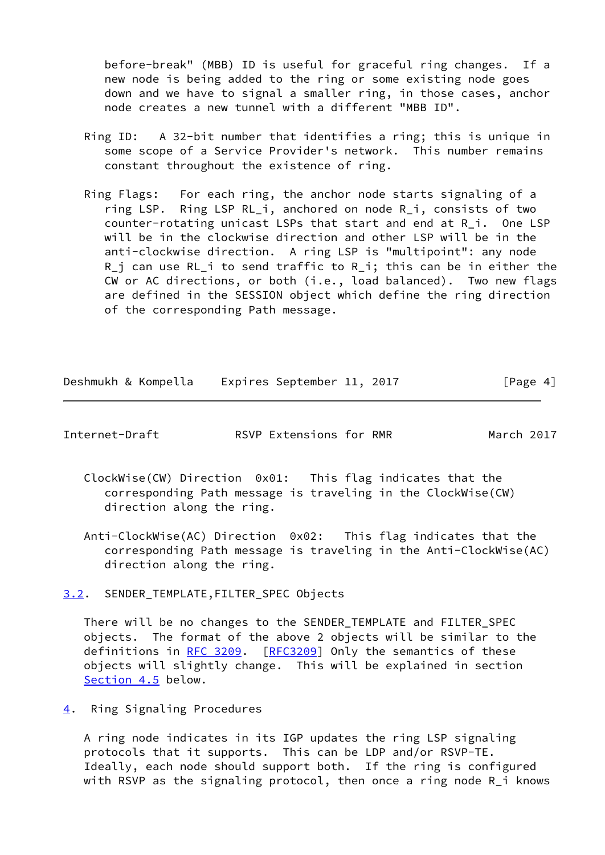before-break" (MBB) ID is useful for graceful ring changes. If a new node is being added to the ring or some existing node goes down and we have to signal a smaller ring, in those cases, anchor node creates a new tunnel with a different "MBB ID".

- Ring ID: A 32-bit number that identifies a ring; this is unique in some scope of a Service Provider's network. This number remains constant throughout the existence of ring.
- Ring Flags: For each ring, the anchor node starts signaling of a ring LSP. Ring LSP RL\_i, anchored on node R\_i, consists of two counter-rotating unicast LSPs that start and end at R\_i. One LSP will be in the clockwise direction and other LSP will be in the anti-clockwise direction. A ring LSP is "multipoint": any node R\_j can use RL\_i to send traffic to R\_i; this can be in either the CW or AC directions, or both (i.e., load balanced). Two new flags are defined in the SESSION object which define the ring direction of the corresponding Path message.

Deshmukh & Kompella Expires September 11, 2017 [Page 4]

<span id="page-4-1"></span>Internet-Draft RSVP Extensions for RMR March 2017

- ClockWise(CW) Direction 0x01: This flag indicates that the corresponding Path message is traveling in the ClockWise(CW) direction along the ring.
- Anti-ClockWise(AC) Direction 0x02: This flag indicates that the corresponding Path message is traveling in the Anti-ClockWise(AC) direction along the ring.

<span id="page-4-0"></span>[3.2](#page-4-0). SENDER\_TEMPLATE,FILTER\_SPEC Objects

 There will be no changes to the SENDER\_TEMPLATE and FILTER\_SPEC objects. The format of the above 2 objects will be similar to the definitions in [RFC 3209.](https://datatracker.ietf.org/doc/pdf/rfc3209) [[RFC3209](https://datatracker.ietf.org/doc/pdf/rfc3209)] Only the semantics of these objects will slightly change. This will be explained in section [Section 4.5](#page-11-0) below.

<span id="page-4-2"></span>[4](#page-4-2). Ring Signaling Procedures

 A ring node indicates in its IGP updates the ring LSP signaling protocols that it supports. This can be LDP and/or RSVP-TE. Ideally, each node should support both. If the ring is configured with RSVP as the signaling protocol, then once a ring node R\_i knows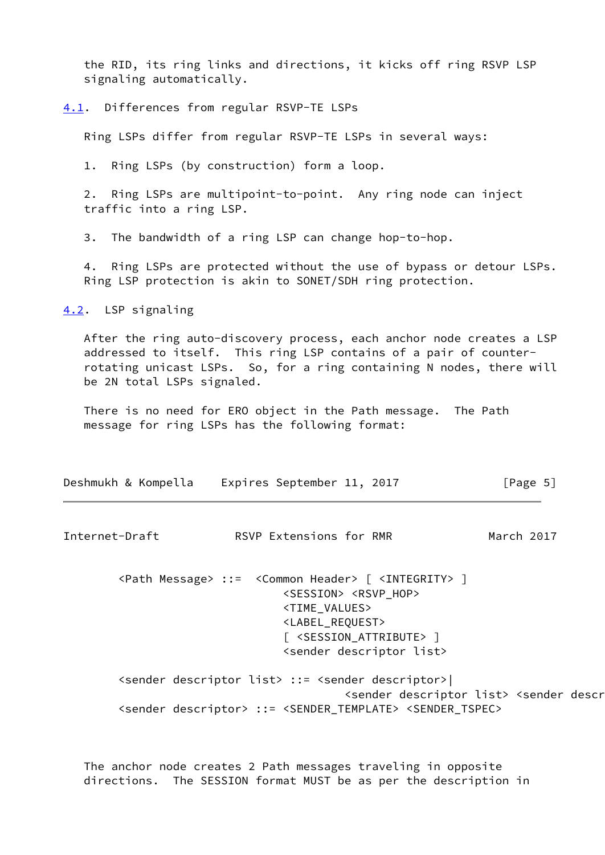the RID, its ring links and directions, it kicks off ring RSVP LSP signaling automatically.

<span id="page-5-0"></span>[4.1](#page-5-0). Differences from regular RSVP-TE LSPs

Ring LSPs differ from regular RSVP-TE LSPs in several ways:

1. Ring LSPs (by construction) form a loop.

 2. Ring LSPs are multipoint-to-point. Any ring node can inject traffic into a ring LSP.

3. The bandwidth of a ring LSP can change hop-to-hop.

 4. Ring LSPs are protected without the use of bypass or detour LSPs. Ring LSP protection is akin to SONET/SDH ring protection.

<span id="page-5-1"></span>[4.2](#page-5-1). LSP signaling

 After the ring auto-discovery process, each anchor node creates a LSP addressed to itself. This ring LSP contains of a pair of counter rotating unicast LSPs. So, for a ring containing N nodes, there will be 2N total LSPs signaled.

 There is no need for ERO object in the Path message. The Path message for ring LSPs has the following format:

| Deshmukh & Kompella |  | Expires September 11, 2017 |  |  | [Page 5] |  |
|---------------------|--|----------------------------|--|--|----------|--|
|---------------------|--|----------------------------|--|--|----------|--|

Internet-Draft RSVP Extensions for RMR March 2017

 <Path Message> ::= <Common Header> [ <INTEGRITY> ] <SESSION> <RSVP\_HOP> <TIME\_VALUES> <LABEL\_REQUEST> [ <SESSION\_ATTRIBUTE> ] <sender descriptor list>

 <sender descriptor list> ::= <sender descriptor>| <sender descriptor list> <sender descriptor> <sender descriptor> ::= <SENDER\_TEMPLATE> <SENDER\_TSPEC>

 The anchor node creates 2 Path messages traveling in opposite directions. The SESSION format MUST be as per the description in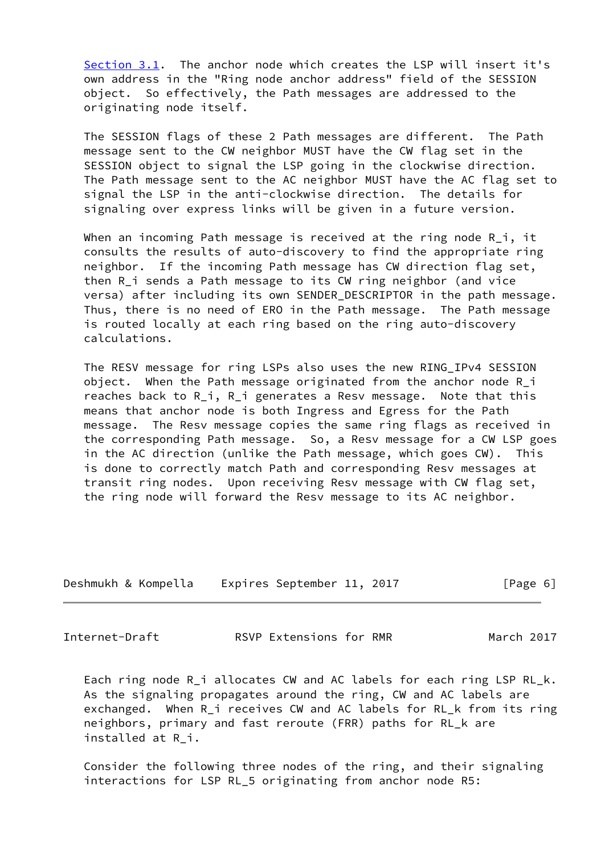[Section 3.1](#page-3-2). The anchor node which creates the LSP will insert it's own address in the "Ring node anchor address" field of the SESSION object. So effectively, the Path messages are addressed to the originating node itself.

 The SESSION flags of these 2 Path messages are different. The Path message sent to the CW neighbor MUST have the CW flag set in the SESSION object to signal the LSP going in the clockwise direction. The Path message sent to the AC neighbor MUST have the AC flag set to signal the LSP in the anti-clockwise direction. The details for signaling over express links will be given in a future version.

When an incoming Path message is received at the ring node R i, it consults the results of auto-discovery to find the appropriate ring neighbor. If the incoming Path message has CW direction flag set, then R i sends a Path message to its CW ring neighbor (and vice versa) after including its own SENDER DESCRIPTOR in the path message. Thus, there is no need of ERO in the Path message. The Path message is routed locally at each ring based on the ring auto-discovery calculations.

 The RESV message for ring LSPs also uses the new RING\_IPv4 SESSION object. When the Path message originated from the anchor node R\_i reaches back to R\_i, R\_i generates a Resv message. Note that this means that anchor node is both Ingress and Egress for the Path message. The Resv message copies the same ring flags as received in the corresponding Path message. So, a Resv message for a CW LSP goes in the AC direction (unlike the Path message, which goes CW). This is done to correctly match Path and corresponding Resv messages at transit ring nodes. Upon receiving Resv message with CW flag set, the ring node will forward the Resv message to its AC neighbor.

| Deshmukh & Kompella |  |  | Expires September 11, 2017 |  |  | [Page 6] |  |
|---------------------|--|--|----------------------------|--|--|----------|--|
|---------------------|--|--|----------------------------|--|--|----------|--|

<span id="page-6-0"></span>Internet-Draft RSVP Extensions for RMR March 2017

 Each ring node R\_i allocates CW and AC labels for each ring LSP RL\_k. As the signaling propagates around the ring, CW and AC labels are exchanged. When R i receives CW and AC labels for RL k from its ring neighbors, primary and fast reroute (FRR) paths for RL\_k are installed at R\_i.

 Consider the following three nodes of the ring, and their signaling interactions for LSP RL\_5 originating from anchor node R5: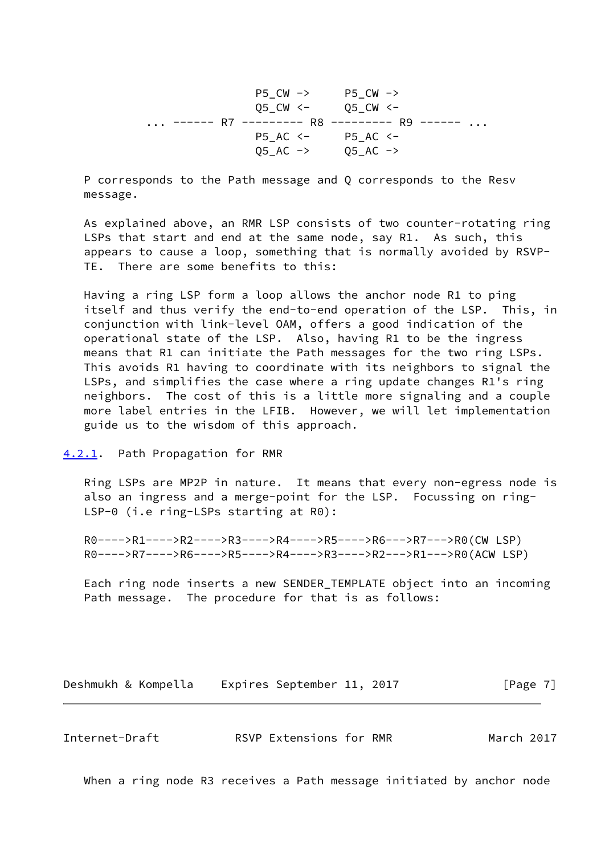P5\_CW -> P5\_CW -> Q5\_CW <- Q5\_CW <- ... ------ R7 --------- R8 --------- R9 ------ ... P5\_AC <- P5\_AC <-  $Q5\_AC$  ->  $Q5\_AC$  ->

 P corresponds to the Path message and Q corresponds to the Resv message.

 As explained above, an RMR LSP consists of two counter-rotating ring LSPs that start and end at the same node, say R1. As such, this appears to cause a loop, something that is normally avoided by RSVP- TE. There are some benefits to this:

 Having a ring LSP form a loop allows the anchor node R1 to ping itself and thus verify the end-to-end operation of the LSP. This, in conjunction with link-level OAM, offers a good indication of the operational state of the LSP. Also, having R1 to be the ingress means that R1 can initiate the Path messages for the two ring LSPs. This avoids R1 having to coordinate with its neighbors to signal the LSPs, and simplifies the case where a ring update changes R1's ring neighbors. The cost of this is a little more signaling and a couple more label entries in the LFIB. However, we will let implementation guide us to the wisdom of this approach.

### <span id="page-7-0"></span>[4.2.1](#page-7-0). Path Propagation for RMR

 Ring LSPs are MP2P in nature. It means that every non-egress node is also an ingress and a merge-point for the LSP. Focussing on ring- LSP-0 (i.e ring-LSPs starting at R0):

 R0---->R1---->R2---->R3---->R4---->R5---->R6--->R7--->R0(CW LSP) R0---->R7---->R6---->R5---->R4---->R3---->R2--->R1--->R0(ACW LSP)

 Each ring node inserts a new SENDER\_TEMPLATE object into an incoming Path message. The procedure for that is as follows:

Deshmukh & Kompella Expires September 11, 2017 [Page 7]

<span id="page-7-1"></span>Internet-Draft RSVP Extensions for RMR March 2017

When a ring node R3 receives a Path message initiated by anchor node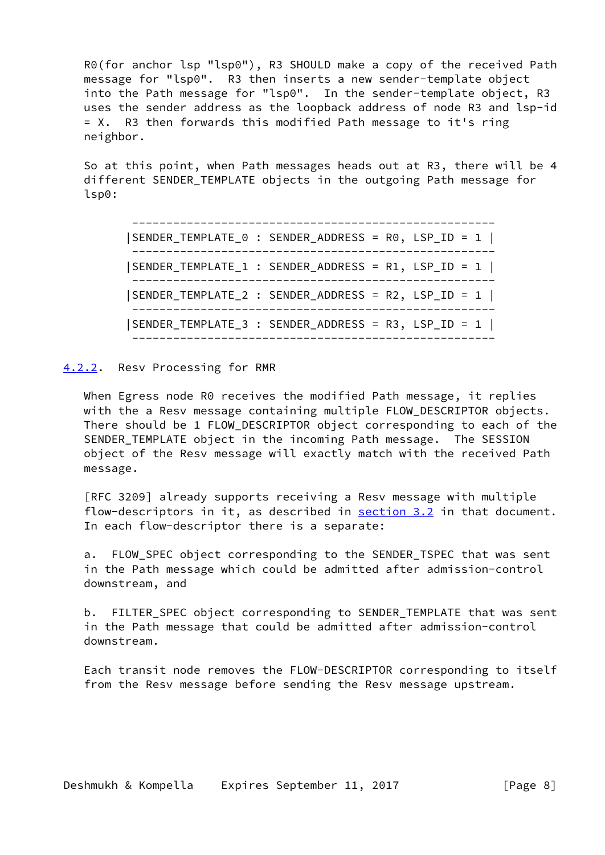R0(for anchor lsp "lsp0"), R3 SHOULD make a copy of the received Path message for "lsp0". R3 then inserts a new sender-template object into the Path message for "lsp0". In the sender-template object, R3 uses the sender address as the loopback address of node R3 and lsp-id = X. R3 then forwards this modified Path message to it's ring neighbor.

 So at this point, when Path messages heads out at R3, there will be 4 different SENDER\_TEMPLATE objects in the outgoing Path message for lsp0:

 ----------------------------------------------------- |SENDER\_TEMPLATE\_0 : SENDER\_ADDRESS = R0, LSP\_ID = 1 | ----------------------------------------------------- |SENDER\_TEMPLATE\_1 : SENDER\_ADDRESS = R1, LSP\_ID = 1 | ----------------------------------------------------- |SENDER\_TEMPLATE\_2 : SENDER\_ADDRESS = R2, LSP\_ID = 1 | ----------------------------------------------------- |SENDER\_TEMPLATE\_3 : SENDER\_ADDRESS = R3, LSP\_ID = 1 | -----------------------------------------------------

### <span id="page-8-0"></span>[4.2.2](#page-8-0). Resv Processing for RMR

When Egress node R0 receives the modified Path message, it replies with the a Resv message containing multiple FLOW\_DESCRIPTOR objects. There should be 1 FLOW\_DESCRIPTOR object corresponding to each of the SENDER\_TEMPLATE object in the incoming Path message. The SESSION object of the Resv message will exactly match with the received Path message.

 [RFC 3209] already supports receiving a Resv message with multiple flow-descriptors in it, as described in [section 3.2](#page-4-0) in that document. In each flow-descriptor there is a separate:

a. FLOW SPEC object corresponding to the SENDER TSPEC that was sent in the Path message which could be admitted after admission-control downstream, and

 b. FILTER\_SPEC object corresponding to SENDER\_TEMPLATE that was sent in the Path message that could be admitted after admission-control downstream.

 Each transit node removes the FLOW-DESCRIPTOR corresponding to itself from the Resv message before sending the Resv message upstream.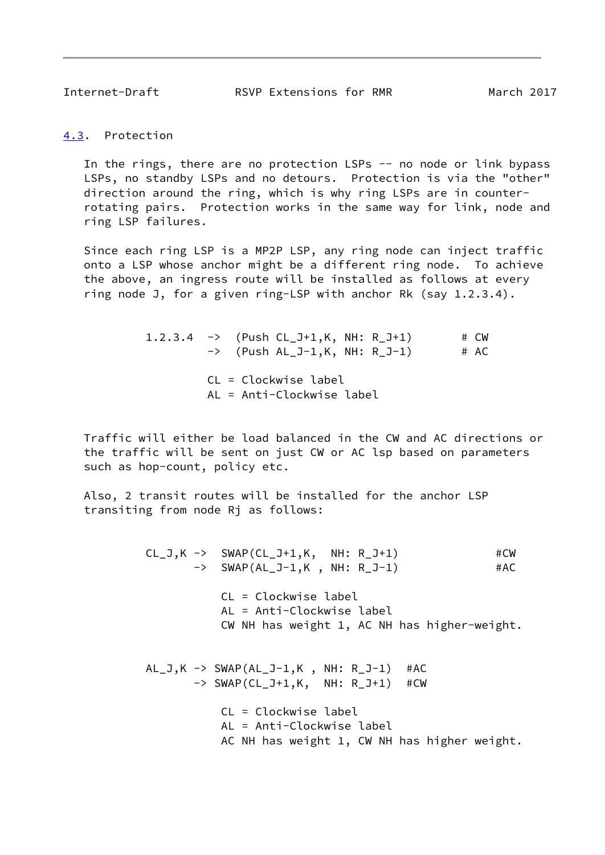<span id="page-9-1"></span>Internet-Draft RSVP Extensions for RMR March 2017

<span id="page-9-0"></span>[4.3](#page-9-0). Protection

In the rings, there are no protection LSPs -- no node or link bypass LSPs, no standby LSPs and no detours. Protection is via the "other" direction around the ring, which is why ring LSPs are in counter rotating pairs. Protection works in the same way for link, node and ring LSP failures.

 Since each ring LSP is a MP2P LSP, any ring node can inject traffic onto a LSP whose anchor might be a different ring node. To achieve the above, an ingress route will be installed as follows at every ring node J, for a given ring-LSP with anchor Rk (say 1.2.3.4).

> 1.2.3.4  $\rightarrow$  (Push CL\_J+1,K, NH: R\_J+1) # CW  $\rightarrow$  (Push AL\_J-1,K, NH: R\_J-1) # AC CL = Clockwise label AL = Anti-Clockwise label

 Traffic will either be load balanced in the CW and AC directions or the traffic will be sent on just CW or AC lsp based on parameters such as hop-count, policy etc.

 Also, 2 transit routes will be installed for the anchor LSP transiting from node Rj as follows:

> $CL_J,K \rightarrow \text{SWAP}(CL_J+1,K, \text{NH: } R_J+1)$  #CW -> SWAP(AL\_J-1,K, NH: R\_J-1) #AC CL = Clockwise label AL = Anti-Clockwise label CW NH has weight 1, AC NH has higher-weight.  $AL_J,K \rightarrow SWAP(AL_J-1,K, NH: R_J-1)$  #AC -> SWAP(CL\_J+1,K, NH: R\_J+1) #CW CL = Clockwise label AL = Anti-Clockwise label AC NH has weight 1, CW NH has higher weight.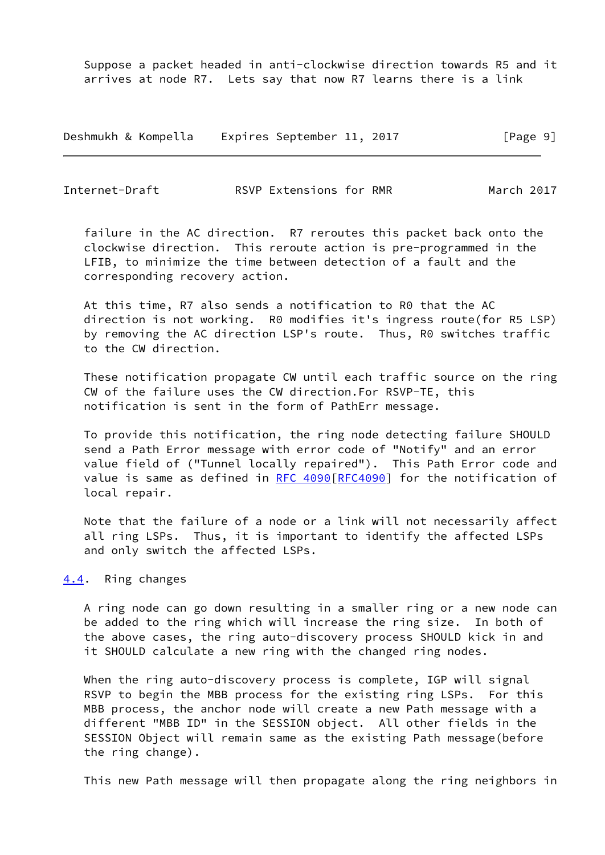Suppose a packet headed in anti-clockwise direction towards R5 and it arrives at node R7. Lets say that now R7 learns there is a link

Deshmukh & Kompella Expires September 11, 2017 [Page 9]

<span id="page-10-1"></span>Internet-Draft **RSVP Extensions for RMR** March 2017

 failure in the AC direction. R7 reroutes this packet back onto the clockwise direction. This reroute action is pre-programmed in the LFIB, to minimize the time between detection of a fault and the corresponding recovery action.

 At this time, R7 also sends a notification to R0 that the AC direction is not working. R0 modifies it's ingress route(for R5 LSP) by removing the AC direction LSP's route. Thus, R0 switches traffic to the CW direction.

 These notification propagate CW until each traffic source on the ring CW of the failure uses the CW direction.For RSVP-TE, this notification is sent in the form of PathErr message.

 To provide this notification, the ring node detecting failure SHOULD send a Path Error message with error code of "Notify" and an error value field of ("Tunnel locally repaired"). This Path Error code and value is same as defined in [RFC 4090\[RFC4090](https://datatracker.ietf.org/doc/pdf/rfc4090)] for the notification of local repair.

 Note that the failure of a node or a link will not necessarily affect all ring LSPs. Thus, it is important to identify the affected LSPs and only switch the affected LSPs.

# <span id="page-10-0"></span>[4.4](#page-10-0). Ring changes

 A ring node can go down resulting in a smaller ring or a new node can be added to the ring which will increase the ring size. In both of the above cases, the ring auto-discovery process SHOULD kick in and it SHOULD calculate a new ring with the changed ring nodes.

When the ring auto-discovery process is complete, IGP will signal RSVP to begin the MBB process for the existing ring LSPs. For this MBB process, the anchor node will create a new Path message with a different "MBB ID" in the SESSION object. All other fields in the SESSION Object will remain same as the existing Path message(before the ring change).

This new Path message will then propagate along the ring neighbors in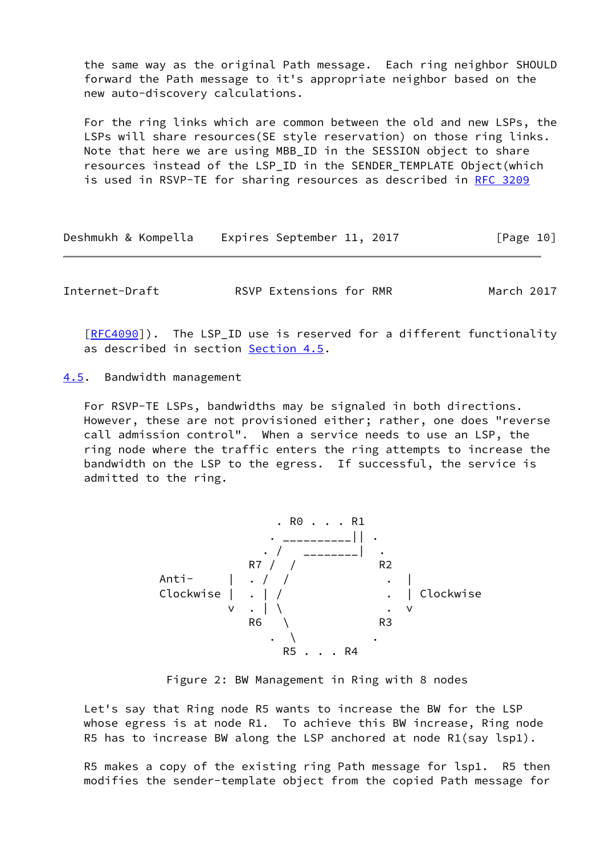the same way as the original Path message. Each ring neighbor SHOULD forward the Path message to it's appropriate neighbor based on the new auto-discovery calculations.

 For the ring links which are common between the old and new LSPs, the LSPs will share resources(SE style reservation) on those ring links. Note that here we are using MBB\_ID in the SESSION object to share resources instead of the LSP\_ID in the SENDER\_TEMPLATE Object(which is used in RSVP-TE for sharing resources as described in [RFC 3209](https://datatracker.ietf.org/doc/pdf/rfc3209)

Deshmukh & Kompella Expires September 11, 2017 [Page 10]

<span id="page-11-1"></span>Internet-Draft RSVP Extensions for RMR March 2017

[\[RFC4090](https://datatracker.ietf.org/doc/pdf/rfc4090)]). The LSP\_ID use is reserved for a different functionality as described in section [Section 4.5](#page-11-0).

<span id="page-11-0"></span>[4.5](#page-11-0). Bandwidth management

 For RSVP-TE LSPs, bandwidths may be signaled in both directions. However, these are not provisioned either; rather, one does "reverse call admission control". When a service needs to use an LSP, the ring node where the traffic enters the ring attempts to increase the bandwidth on the LSP to the egress. If successful, the service is admitted to the ring.



Figure 2: BW Management in Ring with 8 nodes

 Let's say that Ring node R5 wants to increase the BW for the LSP whose egress is at node R1. To achieve this BW increase, Ring node R5 has to increase BW along the LSP anchored at node R1(say lsp1).

 R5 makes a copy of the existing ring Path message for lsp1. R5 then modifies the sender-template object from the copied Path message for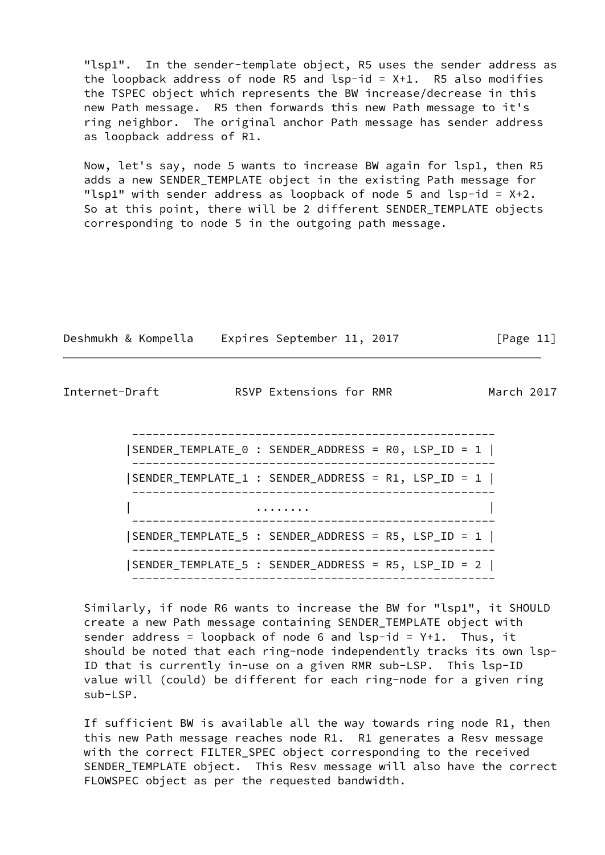"lsp1". In the sender-template object, R5 uses the sender address as the loopback address of node R5 and  $lsp-id = X+1$ . R5 also modifies the TSPEC object which represents the BW increase/decrease in this new Path message. R5 then forwards this new Path message to it's ring neighbor. The original anchor Path message has sender address as loopback address of R1.

 Now, let's say, node 5 wants to increase BW again for lsp1, then R5 adds a new SENDER\_TEMPLATE object in the existing Path message for "lsp1" with sender address as loopback of node 5 and lsp-id =  $X+2$ . So at this point, there will be 2 different SENDER\_TEMPLATE objects corresponding to node 5 in the outgoing path message.

|  |  | Deshmukh & Kompella |  | Expires September 11, 2017 |  |  | [Page 11] |  |
|--|--|---------------------|--|----------------------------|--|--|-----------|--|
|--|--|---------------------|--|----------------------------|--|--|-----------|--|

Internet-Draft RSVP Extensions for RMR March 2017

 ----------------------------------------------------- |SENDER\_TEMPLATE\_0 : SENDER\_ADDRESS = R0, LSP\_ID = 1 | ----------------------------------------------------- |SENDER\_TEMPLATE\_1 : SENDER\_ADDRESS = R1, LSP\_ID = 1 | ----------------------------------------------------- | ........ | ----------------------------------------------------- |SENDER\_TEMPLATE\_5 : SENDER\_ADDRESS = R5, LSP\_ID = 1 | ----------------------------------------------------- |SENDER\_TEMPLATE\_5 : SENDER\_ADDRESS = R5, LSP\_ID = 2 | -----------------------------------------------------

 Similarly, if node R6 wants to increase the BW for "lsp1", it SHOULD create a new Path message containing SENDER\_TEMPLATE object with sender address = loopback of node 6 and  $lsp-id = Y+1$ . Thus, it should be noted that each ring-node independently tracks its own lsp- ID that is currently in-use on a given RMR sub-LSP. This lsp-ID value will (could) be different for each ring-node for a given ring sub-LSP.

 If sufficient BW is available all the way towards ring node R1, then this new Path message reaches node R1. R1 generates a Resv message with the correct FILTER\_SPEC object corresponding to the received SENDER\_TEMPLATE object. This Resv message will also have the correct FLOWSPEC object as per the requested bandwidth.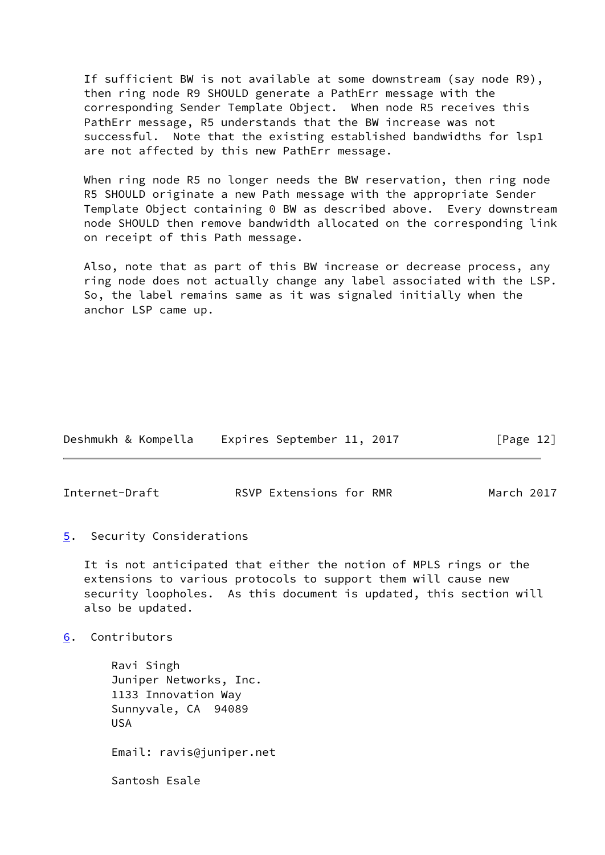If sufficient BW is not available at some downstream (say node R9), then ring node R9 SHOULD generate a PathErr message with the corresponding Sender Template Object. When node R5 receives this PathErr message, R5 understands that the BW increase was not successful. Note that the existing established bandwidths for lsp1 are not affected by this new PathErr message.

 When ring node R5 no longer needs the BW reservation, then ring node R5 SHOULD originate a new Path message with the appropriate Sender Template Object containing 0 BW as described above. Every downstream node SHOULD then remove bandwidth allocated on the corresponding link on receipt of this Path message.

 Also, note that as part of this BW increase or decrease process, any ring node does not actually change any label associated with the LSP. So, the label remains same as it was signaled initially when the anchor LSP came up.

| Deshmukh & Kompella |  |  | Expires September 11, 2017 |  |  | [Page 12] |  |
|---------------------|--|--|----------------------------|--|--|-----------|--|
|---------------------|--|--|----------------------------|--|--|-----------|--|

<span id="page-13-1"></span>Internet-Draft RSVP Extensions for RMR March 2017

<span id="page-13-0"></span>[5](#page-13-0). Security Considerations

 It is not anticipated that either the notion of MPLS rings or the extensions to various protocols to support them will cause new security loopholes. As this document is updated, this section will also be updated.

<span id="page-13-2"></span>[6](#page-13-2). Contributors

 Ravi Singh Juniper Networks, Inc. 1133 Innovation Way Sunnyvale, CA 94089 USA Email: ravis@juniper.net Santosh Esale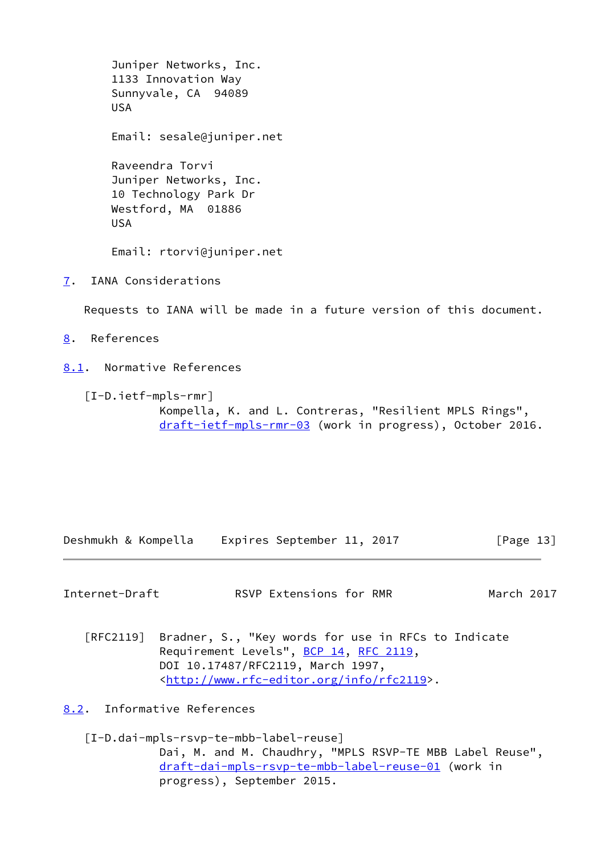Juniper Networks, Inc. 1133 Innovation Way Sunnyvale, CA 94089 USA Email: sesale@juniper.net Raveendra Torvi Juniper Networks, Inc. 10 Technology Park Dr Westford, MA 01886 USA Email: rtorvi@juniper.net

<span id="page-14-0"></span>[7](#page-14-0). IANA Considerations

Requests to IANA will be made in a future version of this document.

<span id="page-14-1"></span>[8](#page-14-1). References

<span id="page-14-2"></span>[8.1](#page-14-2). Normative References

 [I-D.ietf-mpls-rmr] Kompella, K. and L. Contreras, "Resilient MPLS Rings", [draft-ietf-mpls-rmr-03](https://datatracker.ietf.org/doc/pdf/draft-ietf-mpls-rmr-03) (work in progress), October 2016.

Deshmukh & Kompella Expires September 11, 2017 [Page 13]

<span id="page-14-4"></span>Internet-Draft **RSVP Extensions for RMR** March 2017

 [RFC2119] Bradner, S., "Key words for use in RFCs to Indicate Requirement Levels", [BCP 14](https://datatracker.ietf.org/doc/pdf/bcp14), [RFC 2119](https://datatracker.ietf.org/doc/pdf/rfc2119), DOI 10.17487/RFC2119, March 1997, <<http://www.rfc-editor.org/info/rfc2119>>.

<span id="page-14-3"></span>[8.2](#page-14-3). Informative References

 [I-D.dai-mpls-rsvp-te-mbb-label-reuse] Dai, M. and M. Chaudhry, "MPLS RSVP-TE MBB Label Reuse", [draft-dai-mpls-rsvp-te-mbb-label-reuse-01](https://datatracker.ietf.org/doc/pdf/draft-dai-mpls-rsvp-te-mbb-label-reuse-01) (work in progress), September 2015.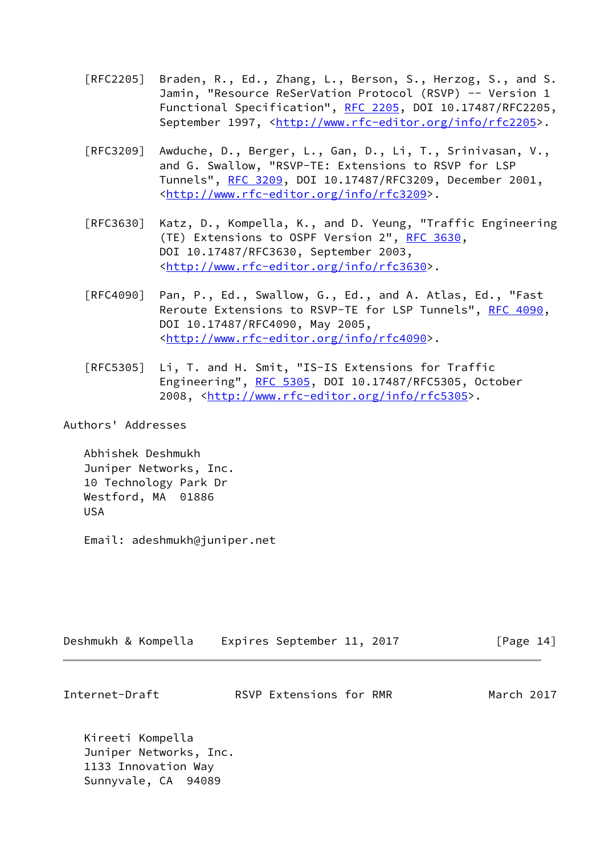- [RFC2205] Braden, R., Ed., Zhang, L., Berson, S., Herzog, S., and S. Jamin, "Resource ReSerVation Protocol (RSVP) -- Version 1 Functional Specification", [RFC 2205](https://datatracker.ietf.org/doc/pdf/rfc2205), DOI 10.17487/RFC2205, September 1997, <<http://www.rfc-editor.org/info/rfc2205>>.
- [RFC3209] Awduche, D., Berger, L., Gan, D., Li, T., Srinivasan, V., and G. Swallow, "RSVP-TE: Extensions to RSVP for LSP Tunnels", [RFC 3209](https://datatracker.ietf.org/doc/pdf/rfc3209), DOI 10.17487/RFC3209, December 2001, <<http://www.rfc-editor.org/info/rfc3209>>.
- [RFC3630] Katz, D., Kompella, K., and D. Yeung, "Traffic Engineering (TE) Extensions to OSPF Version 2", [RFC 3630,](https://datatracker.ietf.org/doc/pdf/rfc3630) DOI 10.17487/RFC3630, September 2003, <<http://www.rfc-editor.org/info/rfc3630>>.
- [RFC4090] Pan, P., Ed., Swallow, G., Ed., and A. Atlas, Ed., "Fast Reroute Extensions to RSVP-TE for LSP Tunnels", [RFC 4090,](https://datatracker.ietf.org/doc/pdf/rfc4090) DOI 10.17487/RFC4090, May 2005, <<http://www.rfc-editor.org/info/rfc4090>>.
- [RFC5305] Li, T. and H. Smit, "IS-IS Extensions for Traffic Engineering", [RFC 5305](https://datatracker.ietf.org/doc/pdf/rfc5305), DOI 10.17487/RFC5305, October 2008, [<http://www.rfc-editor.org/info/rfc5305](http://www.rfc-editor.org/info/rfc5305)>.

Authors' Addresses

 Abhishek Deshmukh Juniper Networks, Inc. 10 Technology Park Dr Westford, MA 01886 USA

Email: adeshmukh@juniper.net

| Deshmukh & Kompella |  |  |  | Expires September 11, 2017 |  |  | [Page 14] |  |
|---------------------|--|--|--|----------------------------|--|--|-----------|--|
|---------------------|--|--|--|----------------------------|--|--|-----------|--|

Internet-Draft RSVP Extensions for RMR March 2017

 Kireeti Kompella Juniper Networks, Inc. 1133 Innovation Way Sunnyvale, CA 94089